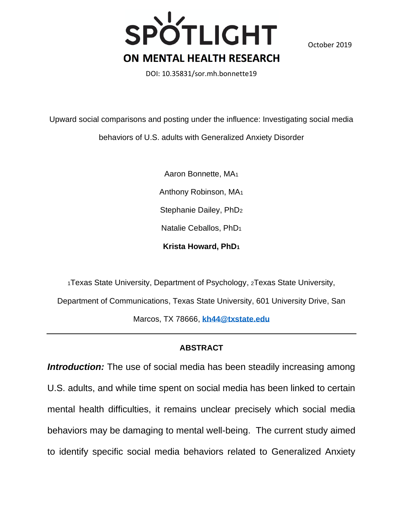

October 2019

DOI: 10.35831/sor.mh.bonnette19

Upward social comparisons and posting under the influence: Investigating social media behaviors of U.S. adults with Generalized Anxiety Disorder

> Aaron Bonnette, MA<sup>1</sup> Anthony Robinson, MA<sup>1</sup> Stephanie Dailey, PhD<sup>2</sup> Natalie Ceballos, PhD<sup>1</sup> **Krista Howard, PhD<sup>1</sup>**

<sup>1</sup>Texas State University, Department of Psychology, 2Texas State University, Department of Communications, Texas State University, 601 University Drive, San Marcos, TX 78666, **[kh44@txstate.edu](mailto:kh44@txstate.edu)**

# **ABSTRACT**

**Introduction:** The use of social media has been steadily increasing among U.S. adults, and while time spent on social media has been linked to certain mental health difficulties, it remains unclear precisely which social media behaviors may be damaging to mental well-being. The current study aimed to identify specific social media behaviors related to Generalized Anxiety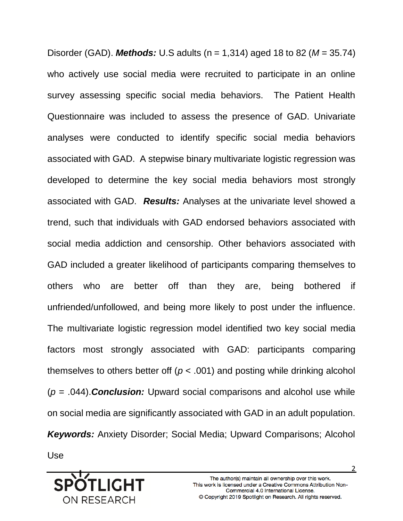Disorder (GAD). *Methods:* U.S adults (n = 1,314) aged 18 to 82 (*M* = 35.74) who actively use social media were recruited to participate in an online survey assessing specific social media behaviors. The Patient Health Questionnaire was included to assess the presence of GAD. Univariate analyses were conducted to identify specific social media behaviors associated with GAD. A stepwise binary multivariate logistic regression was developed to determine the key social media behaviors most strongly associated with GAD. *Results:* Analyses at the univariate level showed a trend, such that individuals with GAD endorsed behaviors associated with social media addiction and censorship. Other behaviors associated with GAD included a greater likelihood of participants comparing themselves to others who are better off than they are, being bothered if unfriended/unfollowed, and being more likely to post under the influence. The multivariate logistic regression model identified two key social media factors most strongly associated with GAD: participants comparing themselves to others better off (*p* < .001) and posting while drinking alcohol (*p* = .044).*Conclusion:* Upward social comparisons and alcohol use while on social media are significantly associated with GAD in an adult population. *Keywords:* Anxiety Disorder; Social Media; Upward Comparisons; Alcohol Use

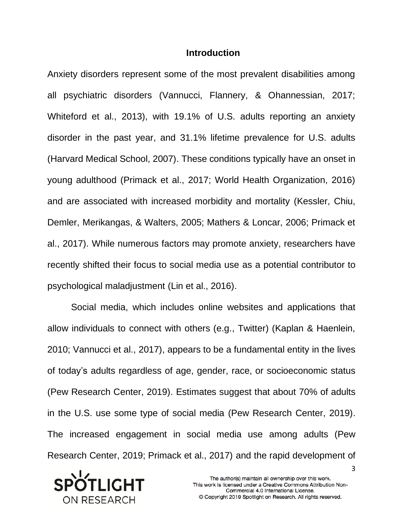## **Introduction**

Anxiety disorders represent some of the most prevalent disabilities among all psychiatric disorders (Vannucci, Flannery, & Ohannessian, 2017; Whiteford et al., 2013), with 19.1% of U.S. adults reporting an anxiety disorder in the past year, and 31.1% lifetime prevalence for U.S. adults (Harvard Medical School, 2007). These conditions typically have an onset in young adulthood (Primack et al., 2017; World Health Organization, 2016) and are associated with increased morbidity and mortality (Kessler, Chiu, Demler, Merikangas, & Walters, 2005; Mathers & Loncar, 2006; Primack et al., 2017). While numerous factors may promote anxiety, researchers have recently shifted their focus to social media use as a potential contributor to psychological maladjustment (Lin et al., 2016).

Social media, which includes online websites and applications that allow individuals to connect with others (e.g., Twitter) (Kaplan & Haenlein, 2010; Vannucci et al., 2017), appears to be a fundamental entity in the lives of today's adults regardless of age, gender, race, or socioeconomic status (Pew Research Center, 2019). Estimates suggest that about 70% of adults in the U.S. use some type of social media (Pew Research Center, 2019). The increased engagement in social media use among adults (Pew Research Center, 2019; Primack et al., 2017) and the rapid development of

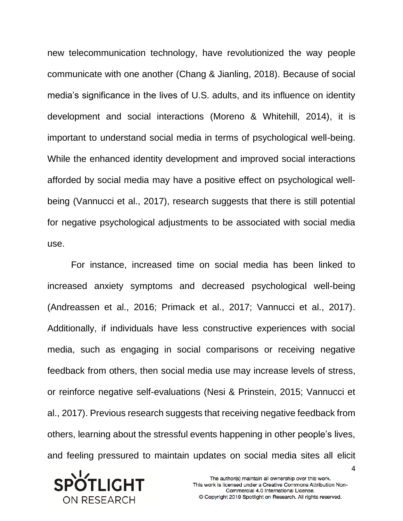new telecommunication technology, have revolutionized the way people communicate with one another (Chang & Jianling, 2018). Because of social media's significance in the lives of U.S. adults, and its influence on identity development and social interactions (Moreno & Whitehill, 2014), it is important to understand social media in terms of psychological well-being. While the enhanced identity development and improved social interactions afforded by social media may have a positive effect on psychological wellbeing (Vannucci et al., 2017), research suggests that there is still potential for negative psychological adjustments to be associated with social media use.

For instance, increased time on social media has been linked to increased anxiety symptoms and decreased psychological well-being (Andreassen et al., 2016; Primack et al., 2017; Vannucci et al., 2017). Additionally, if individuals have less constructive experiences with social media, such as engaging in social comparisons or receiving negative feedback from others, then social media use may increase levels of stress, or reinforce negative self-evaluations (Nesi & Prinstein, 2015; Vannucci et al., 2017). Previous research suggests that receiving negative feedback from others, learning about the stressful events happening in other people's lives, and feeling pressured to maintain updates on social media sites all elicit

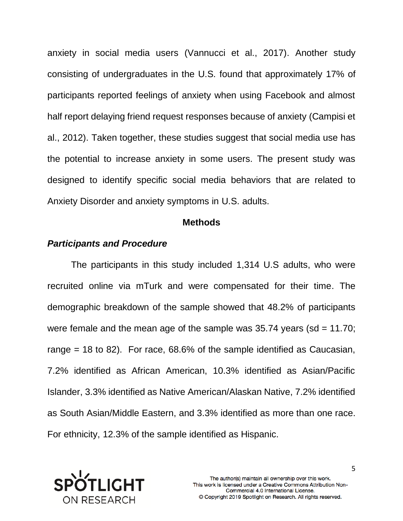anxiety in social media users (Vannucci et al., 2017). Another study consisting of undergraduates in the U.S. found that approximately 17% of participants reported feelings of anxiety when using Facebook and almost half report delaying friend request responses because of anxiety (Campisi et al., 2012). Taken together, these studies suggest that social media use has the potential to increase anxiety in some users. The present study was designed to identify specific social media behaviors that are related to Anxiety Disorder and anxiety symptoms in U.S. adults.

#### **Methods**

## *Participants and Procedure*

The participants in this study included 1,314 U.S adults, who were recruited online via mTurk and were compensated for their time. The demographic breakdown of the sample showed that 48.2% of participants were female and the mean age of the sample was  $35.74$  years (sd = 11.70; range = 18 to 82). For race, 68.6% of the sample identified as Caucasian, 7.2% identified as African American, 10.3% identified as Asian/Pacific Islander, 3.3% identified as Native American/Alaskan Native, 7.2% identified as South Asian/Middle Eastern, and 3.3% identified as more than one race. For ethnicity, 12.3% of the sample identified as Hispanic.

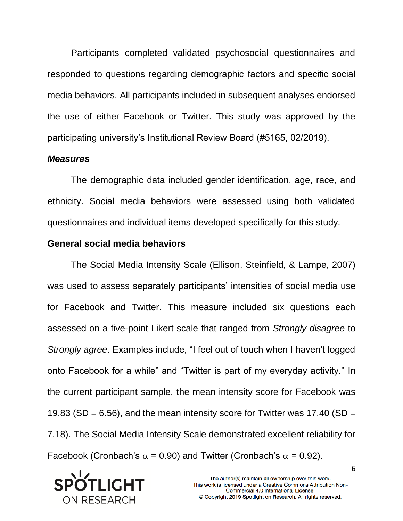Participants completed validated psychosocial questionnaires and responded to questions regarding demographic factors and specific social media behaviors. All participants included in subsequent analyses endorsed the use of either Facebook or Twitter. This study was approved by the participating university's Institutional Review Board (#5165, 02/2019).

## *Measures*

The demographic data included gender identification, age, race, and ethnicity. Social media behaviors were assessed using both validated questionnaires and individual items developed specifically for this study.

# **General social media behaviors**

The Social Media Intensity Scale (Ellison, Steinfield, & Lampe, 2007) was used to assess separately participants' intensities of social media use for Facebook and Twitter. This measure included six questions each assessed on a five-point Likert scale that ranged from *Strongly disagree* to *Strongly agree*. Examples include, "I feel out of touch when I haven't logged onto Facebook for a while" and "Twitter is part of my everyday activity." In the current participant sample, the mean intensity score for Facebook was 19.83 (SD =  $6.56$ ), and the mean intensity score for Twitter was 17.40 (SD = 7.18). The Social Media Intensity Scale demonstrated excellent reliability for Facebook (Cronbach's  $\alpha$  = 0.90) and Twitter (Cronbach's  $\alpha$  = 0.92).

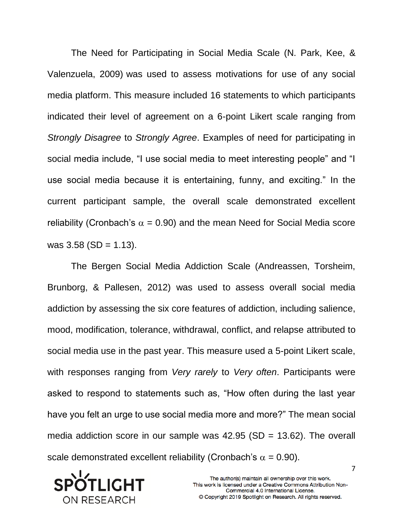The Need for Participating in Social Media Scale (N. Park, Kee, & Valenzuela, 2009) was used to assess motivations for use of any social media platform. This measure included 16 statements to which participants indicated their level of agreement on a 6-point Likert scale ranging from *Strongly Disagree* to *Strongly Agree*. Examples of need for participating in social media include, "I use social media to meet interesting people" and "I use social media because it is entertaining, funny, and exciting." In the current participant sample, the overall scale demonstrated excellent reliability (Cronbach's  $\alpha = 0.90$ ) and the mean Need for Social Media score was  $3.58$  (SD = 1.13).

The Bergen Social Media Addiction Scale (Andreassen, Torsheim, Brunborg, & Pallesen, 2012) was used to assess overall social media addiction by assessing the six core features of addiction, including salience, mood, modification, tolerance, withdrawal, conflict, and relapse attributed to social media use in the past year. This measure used a 5-point Likert scale, with responses ranging from *Very rarely* to *Very often*. Participants were asked to respond to statements such as, "How often during the last year have you felt an urge to use social media more and more?" The mean social media addiction score in our sample was  $42.95$  (SD = 13.62). The overall scale demonstrated excellent reliability (Cronbach's  $\alpha = 0.90$ ).

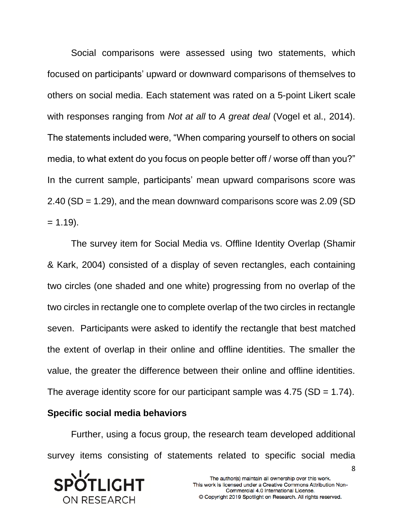Social comparisons were assessed using two statements, which focused on participants' upward or downward comparisons of themselves to others on social media. Each statement was rated on a 5-point Likert scale with responses ranging from *Not at all* to *A great deal* (Vogel et al., 2014). The statements included were, "When comparing yourself to others on social media, to what extent do you focus on people better off / worse off than you?" In the current sample, participants' mean upward comparisons score was 2.40 (SD = 1.29), and the mean downward comparisons score was 2.09 (SD  $= 1.19$ .

The survey item for Social Media vs. Offline Identity Overlap (Shamir & Kark, 2004) consisted of a display of seven rectangles, each containing two circles (one shaded and one white) progressing from no overlap of the two circles in rectangle one to complete overlap of the two circles in rectangle seven. Participants were asked to identify the rectangle that best matched the extent of overlap in their online and offline identities. The smaller the value, the greater the difference between their online and offline identities. The average identity score for our participant sample was  $4.75$  (SD = 1.74).

## **Specific social media behaviors**

Further, using a focus group, the research team developed additional survey items consisting of statements related to specific social media

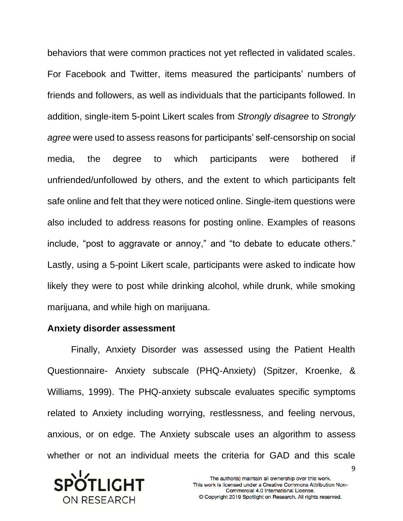behaviors that were common practices not yet reflected in validated scales. For Facebook and Twitter, items measured the participants' numbers of friends and followers, as well as individuals that the participants followed. In addition, single-item 5-point Likert scales from *Strongly disagree* to *Strongly agree* were used to assess reasons for participants' self-censorship on social media, the degree to which participants were bothered if unfriended/unfollowed by others, and the extent to which participants felt safe online and felt that they were noticed online. Single-item questions were also included to address reasons for posting online. Examples of reasons include, "post to aggravate or annoy," and "to debate to educate others." Lastly, using a 5-point Likert scale, participants were asked to indicate how likely they were to post while drinking alcohol, while drunk, while smoking marijuana, and while high on marijuana.

#### **Anxiety disorder assessment**

Finally, Anxiety Disorder was assessed using the Patient Health Questionnaire- Anxiety subscale (PHQ-Anxiety) (Spitzer, Kroenke, & Williams, 1999). The PHQ-anxiety subscale evaluates specific symptoms related to Anxiety including worrying, restlessness, and feeling nervous, anxious, or on edge. The Anxiety subscale uses an algorithm to assess whether or not an individual meets the criteria for GAD and this scale

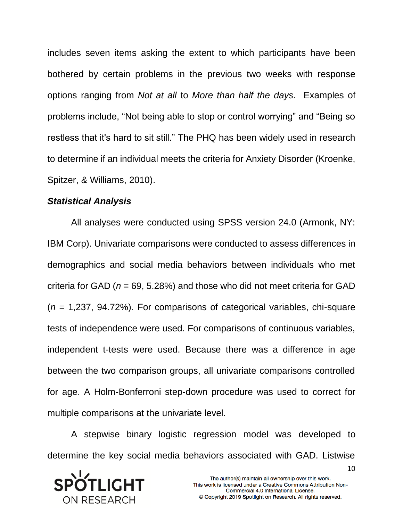includes seven items asking the extent to which participants have been bothered by certain problems in the previous two weeks with response options ranging from *Not at all* to *More than half the days*. Examples of problems include, "Not being able to stop or control worrying" and "Being so restless that it's hard to sit still." The PHQ has been widely used in research to determine if an individual meets the criteria for Anxiety Disorder (Kroenke, Spitzer, & Williams, 2010).

#### *Statistical Analysis*

All analyses were conducted using SPSS version 24.0 (Armonk, NY: IBM Corp). Univariate comparisons were conducted to assess differences in demographics and social media behaviors between individuals who met criteria for GAD (*n* = 69, 5.28%) and those who did not meet criteria for GAD (*n* = 1,237, 94.72%). For comparisons of categorical variables, chi-square tests of independence were used. For comparisons of continuous variables, independent t-tests were used. Because there was a difference in age between the two comparison groups, all univariate comparisons controlled for age. A Holm-Bonferroni step-down procedure was used to correct for multiple comparisons at the univariate level.

A stepwise binary logistic regression model was developed to determine the key social media behaviors associated with GAD. Listwise

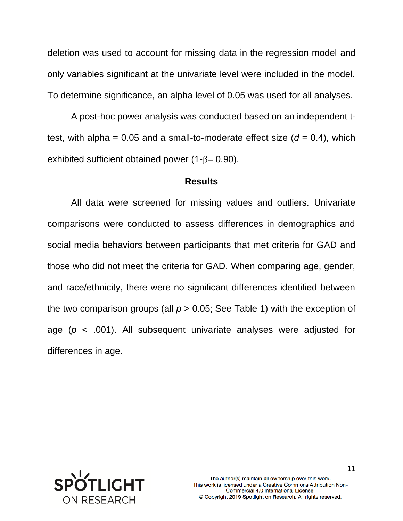deletion was used to account for missing data in the regression model and only variables significant at the univariate level were included in the model. To determine significance, an alpha level of 0.05 was used for all analyses.

A post-hoc power analysis was conducted based on an independent ttest, with alpha =  $0.05$  and a small-to-moderate effect size ( $d = 0.4$ ), which exhibited sufficient obtained power  $(1-\beta= 0.90)$ .

#### **Results**

All data were screened for missing values and outliers. Univariate comparisons were conducted to assess differences in demographics and social media behaviors between participants that met criteria for GAD and those who did not meet the criteria for GAD. When comparing age, gender, and race/ethnicity, there were no significant differences identified between the two comparison groups (all  $p > 0.05$ ; See Table 1) with the exception of age (*p* < .001). All subsequent univariate analyses were adjusted for differences in age.

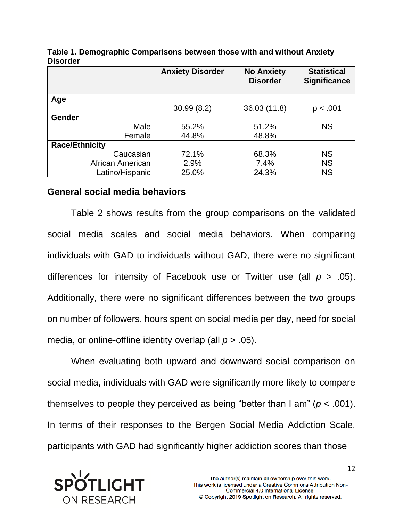|                       | <b>Anxiety Disorder</b> | <b>No Anxiety</b><br><b>Disorder</b> | <b>Statistical</b><br><b>Significance</b> |
|-----------------------|-------------------------|--------------------------------------|-------------------------------------------|
| Age                   |                         |                                      |                                           |
|                       | 30.99(8.2)              | 36.03 (11.8)                         | p < .001                                  |
| <b>Gender</b>         |                         |                                      |                                           |
| Male                  | 55.2%                   | 51.2%                                | <b>NS</b>                                 |
| Female                | 44.8%                   | 48.8%                                |                                           |
| <b>Race/Ethnicity</b> |                         |                                      |                                           |
| Caucasian             | 72.1%                   | 68.3%                                | <b>NS</b>                                 |
| African American      | 2.9%                    | 7.4%                                 | <b>NS</b>                                 |
| Latino/Hispanic       | 25.0%                   | 24.3%                                | <b>NS</b>                                 |

**Table 1. Demographic Comparisons between those with and without Anxiety Disorder**

## **General social media behaviors**

Table 2 shows results from the group comparisons on the validated social media scales and social media behaviors. When comparing individuals with GAD to individuals without GAD, there were no significant differences for intensity of Facebook use or Twitter use (all *p* > .05). Additionally, there were no significant differences between the two groups on number of followers, hours spent on social media per day, need for social media, or online-offline identity overlap (all *p* > .05).

When evaluating both upward and downward social comparison on social media, individuals with GAD were significantly more likely to compare themselves to people they perceived as being "better than I am" (*p* < .001). In terms of their responses to the Bergen Social Media Addiction Scale, participants with GAD had significantly higher addiction scores than those

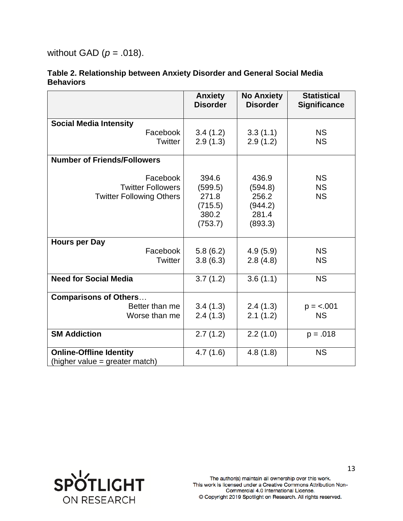without GAD (*p* = .018).

|                                    | <b>Anxiety</b><br><b>Disorder</b> | <b>No Anxiety</b><br><b>Disorder</b> | <b>Statistical</b><br><b>Significance</b> |
|------------------------------------|-----------------------------------|--------------------------------------|-------------------------------------------|
|                                    |                                   |                                      |                                           |
| <b>Social Media Intensity</b>      |                                   |                                      |                                           |
| Facebook                           | 3.4(1.2)                          | 3.3(1.1)                             | <b>NS</b>                                 |
| <b>Twitter</b>                     | 2.9(1.3)                          | 2.9(1.2)                             | <b>NS</b>                                 |
| <b>Number of Friends/Followers</b> |                                   |                                      |                                           |
| Facebook                           | 394.6                             | 436.9                                | <b>NS</b>                                 |
| <b>Twitter Followers</b>           | (599.5)                           | (594.8)                              | <b>NS</b>                                 |
| <b>Twitter Following Others</b>    | 271.8                             | 256.2                                | <b>NS</b>                                 |
|                                    | (715.5)                           | (944.2)                              |                                           |
|                                    | 380.2                             | 281.4                                |                                           |
|                                    | (753.7)                           | (893.3)                              |                                           |
| <b>Hours per Day</b>               |                                   |                                      |                                           |
| Facebook                           | 5.8(6.2)                          | 4.9(5.9)                             | <b>NS</b>                                 |
| <b>Twitter</b>                     | 3.8(6.3)                          | 2.8(4.8)                             | <b>NS</b>                                 |
| <b>Need for Social Media</b>       | 3.7(1.2)                          | 3.6(1.1)                             | <b>NS</b>                                 |
| <b>Comparisons of Others</b>       |                                   |                                      |                                           |
| Better than me                     | 3.4(1.3)                          | 2.4(1.3)                             | $p = 0.001$                               |
| Worse than me                      | 2.4(1.3)                          | 2.1(1.2)                             | <b>NS</b>                                 |
| <b>SM Addiction</b>                | 2.7(1.2)                          | 2.2(1.0)                             | $p = .018$                                |
| <b>Online-Offline Identity</b>     | 4.7(1.6)                          | 4.8(1.8)                             | <b>NS</b>                                 |
| (higher value = greater match)     |                                   |                                      |                                           |

#### **Table 2. Relationship between Anxiety Disorder and General Social Media Behaviors**

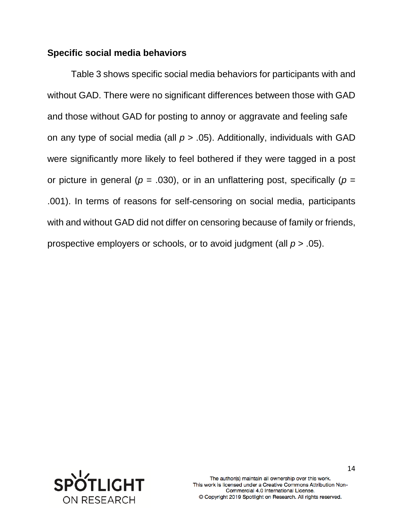# **Specific social media behaviors**

Table 3 shows specific social media behaviors for participants with and without GAD. There were no significant differences between those with GAD and those without GAD for posting to annoy or aggravate and feeling safe on any type of social media (all *p* > .05). Additionally, individuals with GAD were significantly more likely to feel bothered if they were tagged in a post or picture in general ( $p = .030$ ), or in an unflattering post, specifically ( $p =$ .001). In terms of reasons for self-censoring on social media, participants with and without GAD did not differ on censoring because of family or friends, prospective employers or schools, or to avoid judgment (all *p* > .05).

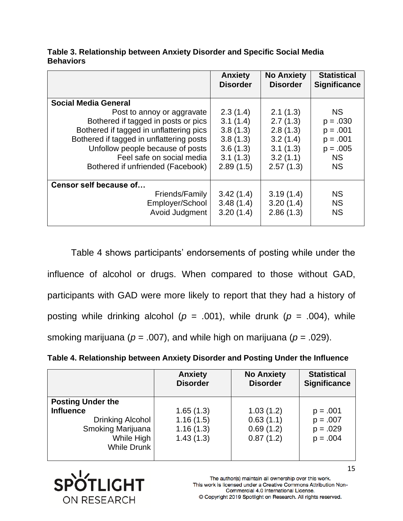|                                          | <b>Anxiety</b><br><b>Disorder</b> | <b>No Anxiety</b><br><b>Disorder</b> | <b>Statistical</b><br><b>Significance</b> |
|------------------------------------------|-----------------------------------|--------------------------------------|-------------------------------------------|
| <b>Social Media General</b>              |                                   |                                      |                                           |
| Post to annoy or aggravate               | 2.3(1.4)                          | 2.1(1.3)                             | <b>NS</b>                                 |
| Bothered if tagged in posts or pics      | 3.1(1.4)                          | 2.7(1.3)                             | $p = .030$                                |
| Bothered if tagged in unflattering pics  | 3.8(1.3)                          | 2.8(1.3)                             | $p = .001$                                |
| Bothered if tagged in unflattering posts | 3.8(1.3)                          | 3.2(1.4)                             | $p = .001$                                |
| Unfollow people because of posts         | 3.6(1.3)                          | 3.1(1.3)                             | $p = .005$                                |
| Feel safe on social media                | 3.1(1.3)                          | 3.2(1.1)                             | <b>NS</b>                                 |
| Bothered if unfriended (Facebook)        | 2.89(1.5)                         | 2.57(1.3)                            | <b>NS</b>                                 |
|                                          |                                   |                                      |                                           |
| Censor self because of                   |                                   |                                      |                                           |
| Friends/Family                           | 3.42(1.4)                         | 3.19(1.4)                            | <b>NS</b>                                 |
| Employer/School                          | 3.48(1.4)                         | 3.20(1.4)                            | <b>NS</b>                                 |
| Avoid Judgment                           | 3.20(1.4)                         | 2.86(1.3)                            | <b>NS</b>                                 |
|                                          |                                   |                                      |                                           |

**Table 3. Relationship between Anxiety Disorder and Specific Social Media Behaviors**

Table 4 shows participants' endorsements of posting while under the influence of alcohol or drugs. When compared to those without GAD, participants with GAD were more likely to report that they had a history of posting while drinking alcohol ( $p = .001$ ), while drunk ( $p = .004$ ), while smoking marijuana ( $p = .007$ ), and while high on marijuana ( $p = .029$ ).

**Table 4. Relationship between Anxiety Disorder and Posting Under the Influence** 

|                          | <b>Anxiety</b><br><b>Disorder</b> | <b>No Anxiety</b><br><b>Disorder</b> | <b>Statistical</b><br><b>Significance</b> |
|--------------------------|-----------------------------------|--------------------------------------|-------------------------------------------|
| <b>Posting Under the</b> |                                   |                                      |                                           |
| <b>Influence</b>         | 1.65(1.3)                         | 1.03(1.2)                            | $p = .001$                                |
| Drinking Alcohol         | 1.16(1.5)                         | 0.63(1.1)                            | $p = .007$                                |
| Smoking Marijuana        | 1.16(1.3)                         | 0.69(1.2)                            | $p = .029$                                |
| While High               | 1.43(1.3)                         | 0.87(1.2)                            | $p = .004$                                |
| <b>While Drunk</b>       |                                   |                                      |                                           |
|                          |                                   |                                      |                                           |



The author(s) maintain all ownership over this work. This work is licensed under a Creative Commons Attribution Non-Commercial 4.0 International License. © Copyright 2019 Spotlight on Research. All rights reserved.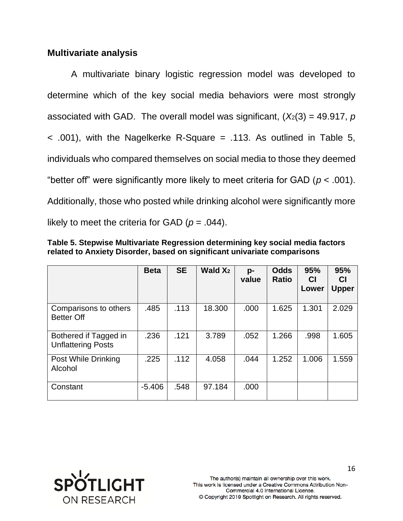# **Multivariate analysis**

A multivariate binary logistic regression model was developed to determine which of the key social media behaviors were most strongly associated with GAD. The overall model was significant,  $(X_2(3) = 49.917, p$  $\leq$  .001), with the Nagelkerke R-Square = .113. As outlined in Table 5, individuals who compared themselves on social media to those they deemed "better off" were significantly more likely to meet criteria for GAD ( $p < .001$ ). Additionally, those who posted while drinking alcohol were significantly more likely to meet the criteria for GAD ( $p = .044$ ).

| Table 5. Stepwise Multivariate Regression determining key social media factors |  |  |
|--------------------------------------------------------------------------------|--|--|
| related to Anxiety Disorder, based on significant univariate comparisons       |  |  |

|                                                    | <b>Beta</b> | <b>SE</b> | Wald $X_2$ | p-<br>value | <b>Odds</b><br><b>Ratio</b> | 95%<br><b>CI</b><br>Lower | 95%<br><b>CI</b><br><b>Upper</b> |
|----------------------------------------------------|-------------|-----------|------------|-------------|-----------------------------|---------------------------|----------------------------------|
| Comparisons to others<br><b>Better Off</b>         | .485        | .113      | 18.300     | .000        | 1.625                       | 1.301                     | 2.029                            |
| Bothered if Tagged in<br><b>Unflattering Posts</b> | .236        | .121      | 3.789      | .052        | 1.266                       | .998                      | 1.605                            |
| Post While Drinking<br>Alcohol                     | .225        | .112      | 4.058      | .044        | 1.252                       | 1.006                     | 1.559                            |
| Constant                                           | $-5.406$    | .548      | 97.184     | .000        |                             |                           |                                  |

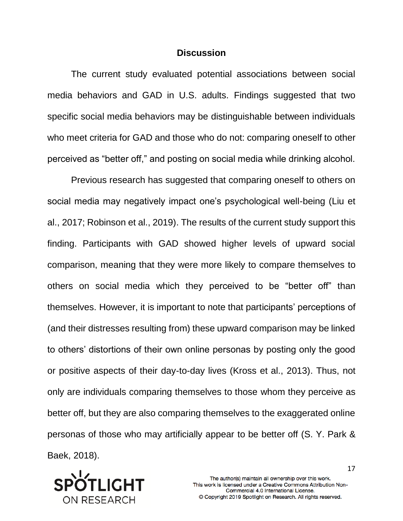## **Discussion**

The current study evaluated potential associations between social media behaviors and GAD in U.S. adults. Findings suggested that two specific social media behaviors may be distinguishable between individuals who meet criteria for GAD and those who do not: comparing oneself to other perceived as "better off," and posting on social media while drinking alcohol.

Previous research has suggested that comparing oneself to others on social media may negatively impact one's psychological well-being (Liu et al., 2017; Robinson et al., 2019). The results of the current study support this finding. Participants with GAD showed higher levels of upward social comparison, meaning that they were more likely to compare themselves to others on social media which they perceived to be "better off" than themselves. However, it is important to note that participants' perceptions of (and their distresses resulting from) these upward comparison may be linked to others' distortions of their own online personas by posting only the good or positive aspects of their day-to-day lives (Kross et al., 2013). Thus, not only are individuals comparing themselves to those whom they perceive as better off, but they are also comparing themselves to the exaggerated online personas of those who may artificially appear to be better off (S. Y. Park & Baek, 2018).

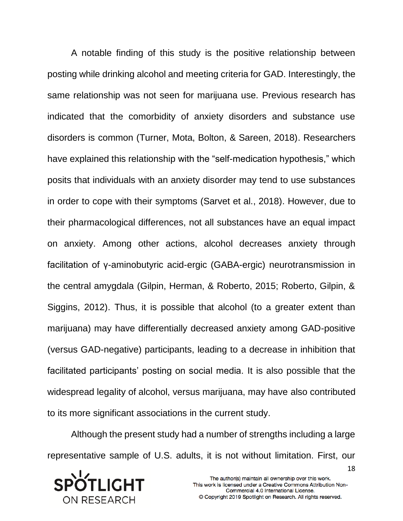A notable finding of this study is the positive relationship between posting while drinking alcohol and meeting criteria for GAD. Interestingly, the same relationship was not seen for marijuana use. Previous research has indicated that the comorbidity of anxiety disorders and substance use disorders is common (Turner, Mota, Bolton, & Sareen, 2018). Researchers have explained this relationship with the "self-medication hypothesis," which posits that individuals with an anxiety disorder may tend to use substances in order to cope with their symptoms (Sarvet et al., 2018). However, due to their pharmacological differences, not all substances have an equal impact on anxiety. Among other actions, alcohol decreases anxiety through facilitation of γ-aminobutyric acid-ergic (GABA-ergic) neurotransmission in the central amygdala (Gilpin, Herman, & Roberto, 2015; Roberto, Gilpin, & Siggins, 2012). Thus, it is possible that alcohol (to a greater extent than marijuana) may have differentially decreased anxiety among GAD-positive (versus GAD-negative) participants, leading to a decrease in inhibition that facilitated participants' posting on social media. It is also possible that the widespread legality of alcohol, versus marijuana, may have also contributed to its more significant associations in the current study.

Although the present study had a number of strengths including a large representative sample of U.S. adults, it is not without limitation. First, our

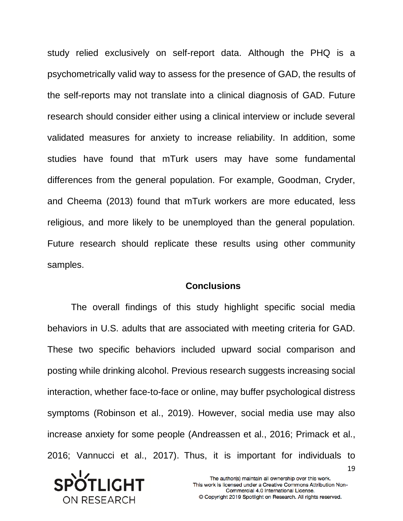study relied exclusively on self-report data. Although the PHQ is a psychometrically valid way to assess for the presence of GAD, the results of the self-reports may not translate into a clinical diagnosis of GAD. Future research should consider either using a clinical interview or include several validated measures for anxiety to increase reliability. In addition, some studies have found that mTurk users may have some fundamental differences from the general population. For example, Goodman, Cryder, and Cheema (2013) found that mTurk workers are more educated, less religious, and more likely to be unemployed than the general population. Future research should replicate these results using other community samples.

## **Conclusions**

The overall findings of this study highlight specific social media behaviors in U.S. adults that are associated with meeting criteria for GAD. These two specific behaviors included upward social comparison and posting while drinking alcohol. Previous research suggests increasing social interaction, whether face-to-face or online, may buffer psychological distress symptoms (Robinson et al., 2019). However, social media use may also increase anxiety for some people (Andreassen et al., 2016; Primack et al., 2016; Vannucci et al., 2017). Thus, it is important for individuals to

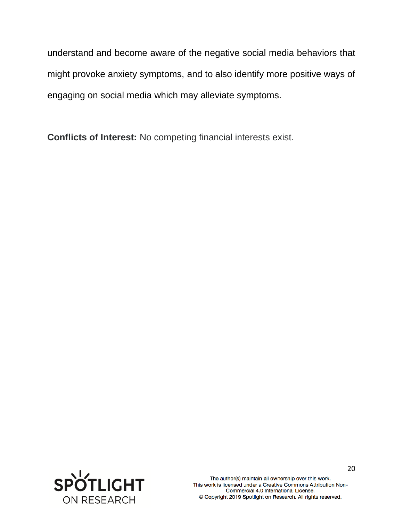understand and become aware of the negative social media behaviors that might provoke anxiety symptoms, and to also identify more positive ways of engaging on social media which may alleviate symptoms.

**Conflicts of Interest:** No competing financial interests exist.

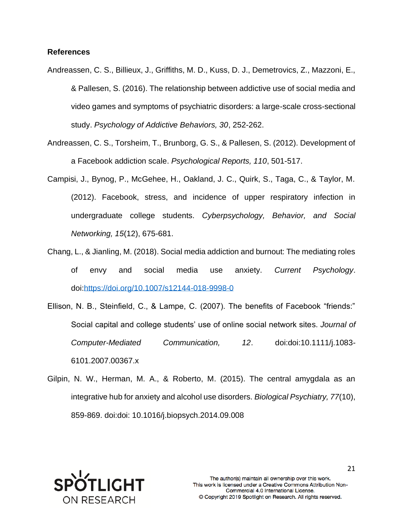#### **References**

- Andreassen, C. S., Billieux, J., Griffiths, M. D., Kuss, D. J., Demetrovics, Z., Mazzoni, E., & Pallesen, S. (2016). The relationship between addictive use of social media and video games and symptoms of psychiatric disorders: a large-scale cross-sectional study. *Psychology of Addictive Behaviors, 30*, 252-262.
- Andreassen, C. S., Torsheim, T., Brunborg, G. S., & Pallesen, S. (2012). Development of a Facebook addiction scale. *Psychological Reports, 110*, 501-517.
- Campisi, J., Bynog, P., McGehee, H., Oakland, J. C., Quirk, S., Taga, C., & Taylor, M. (2012). Facebook, stress, and incidence of upper respiratory infection in undergraduate college students. *Cyberpsychology, Behavior, and Social Networking, 15*(12), 675-681.
- Chang, L., & Jianling, M. (2018). Social media addiction and burnout: The mediating roles of envy and social media use anxiety. *Current Psychology*. doi[:https://doi.org/10.1007/s12144-018-9998-0](https://doi.org/10.1007/s12144-018-9998-0)
- Ellison, N. B., Steinfield, C., & Lampe, C. (2007). The benefits of Facebook "friends:" Social capital and college students' use of online social network sites. *Journal of Computer-Mediated Communication, 12*. doi:doi:10.1111/j.1083- 6101.2007.00367.x
- Gilpin, N. W., Herman, M. A., & Roberto, M. (2015). The central amygdala as an integrative hub for anxiety and alcohol use disorders. *Biological Psychiatry, 77*(10), 859-869. doi:doi: 10.1016/j.biopsych.2014.09.008

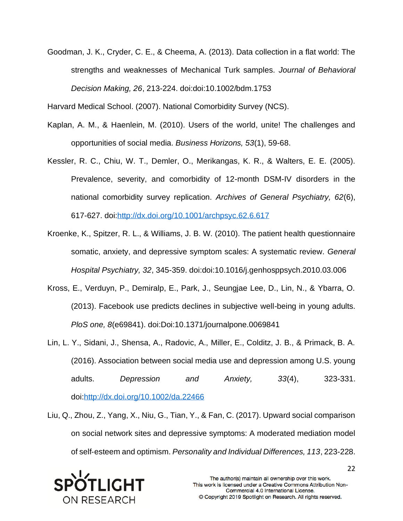Goodman, J. K., Cryder, C. E., & Cheema, A. (2013). Data collection in a flat world: The strengths and weaknesses of Mechanical Turk samples. *Journal of Behavioral Decision Making, 26*, 213-224. doi:doi:10.1002/bdm.1753

Harvard Medical School. (2007). National Comorbidity Survey (NCS).

- Kaplan, A. M., & Haenlein, M. (2010). Users of the world, unite! The challenges and opportunities of social media. *Business Horizons, 53*(1), 59-68.
- Kessler, R. C., Chiu, W. T., Demler, O., Merikangas, K. R., & Walters, E. E. (2005). Prevalence, severity, and comorbidity of 12-month DSM-IV disorders in the national comorbidity survey replication. *Archives of General Psychiatry, 62*(6), 617-627. doi[:http://dx.doi.org/10.1001/archpsyc.62.6.617](http://dx.doi.org/10.1001/archpsyc.62.6.617)
- Kroenke, K., Spitzer, R. L., & Williams, J. B. W. (2010). The patient health questionnaire somatic, anxiety, and depressive symptom scales: A systematic review. *General Hospital Psychiatry, 32*, 345-359. doi:doi:10.1016/j.genhosppsych.2010.03.006
- Kross, E., Verduyn, P., Demiralp, E., Park, J., Seungjae Lee, D., Lin, N., & Ybarra, O. (2013). Facebook use predicts declines in subjective well-being in young adults. *PloS one, 8*(e69841). doi:Doi:10.1371/journalpone.0069841
- Lin, L. Y., Sidani, J., Shensa, A., Radovic, A., Miller, E., Colditz, J. B., & Primack, B. A. (2016). Association between social media use and depression among U.S. young adults. *Depression and Anxiety, 33*(4), 323-331. doi[:http://dx.doi.org/10.1002/da.22466](http://dx.doi.org/10.1002/da.22466)
- Liu, Q., Zhou, Z., Yang, X., Niu, G., Tian, Y., & Fan, C. (2017). Upward social comparison on social network sites and depressive symptoms: A moderated mediation model of self‐esteem and optimism. *Personality and Individual Differences, 113*, 223-228.

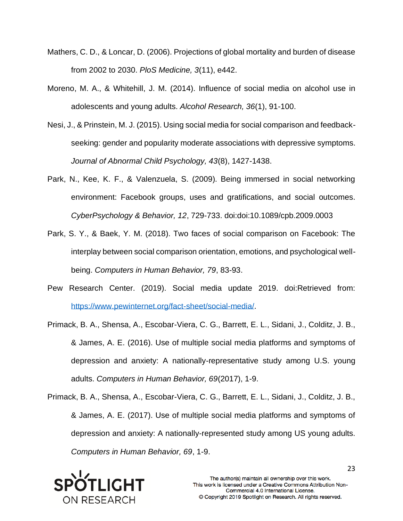- Mathers, C. D., & Loncar, D. (2006). Projections of global mortality and burden of disease from 2002 to 2030. *PloS Medicine, 3*(11), e442.
- Moreno, M. A., & Whitehill, J. M. (2014). Influence of social media on alcohol use in adolescents and young adults. *Alcohol Research, 36*(1), 91-100.
- Nesi, J., & Prinstein, M. J. (2015). Using social media for social comparison and feedbackseeking: gender and popularity moderate associations with depressive symptoms. *Journal of Abnormal Child Psychology, 43*(8), 1427-1438.
- Park, N., Kee, K. F., & Valenzuela, S. (2009). Being immersed in social networking environment: Facebook groups, uses and gratifications, and social outcomes. *CyberPsychology & Behavior, 12*, 729-733. doi:doi:10.1089/cpb.2009.0003
- Park, S. Y., & Baek, Y. M. (2018). Two faces of social comparison on Facebook: The interplay between social comparison orientation, emotions, and psychological wellbeing. *Computers in Human Behavior, 79*, 83-93.
- Pew Research Center. (2019). Social media update 2019. doi:Retrieved from: [https://www.pewinternet.org/fact-sheet/social-media/.](https://www.pewinternet.org/fact-sheet/social-media/)
- Primack, B. A., Shensa, A., Escobar-Viera, C. G., Barrett, E. L., Sidani, J., Colditz, J. B., & James, A. E. (2016). Use of multiple social media platforms and symptoms of depression and anxiety: A nationally-representative study among U.S. young adults. *Computers in Human Behavior, 69*(2017), 1-9.

Primack, B. A., Shensa, A., Escobar-Viera, C. G., Barrett, E. L., Sidani, J., Colditz, J. B., & James, A. E. (2017). Use of multiple social media platforms and symptoms of depression and anxiety: A nationally-represented study among US young adults. *Computers in Human Behavior, 69*, 1-9.

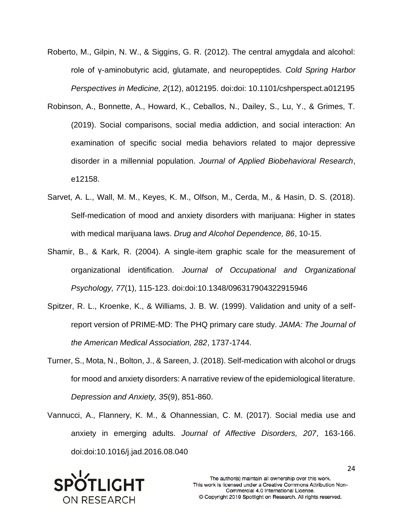- Roberto, M., Gilpin, N. W., & Siggins, G. R. (2012). The central amygdala and alcohol: role of γ-aminobutyric acid, glutamate, and neuropeptides. *Cold Spring Harbor Perspectives in Medicine, 2*(12), a012195. doi:doi: 10.1101/cshperspect.a012195
- Robinson, A., Bonnette, A., Howard, K., Ceballos, N., Dailey, S., Lu, Y., & Grimes, T. (2019). Social comparisons, social media addiction, and social interaction: An examination of specific social media behaviors related to major depressive disorder in a millennial population. *Journal of Applied Biobehavioral Research*, e12158.
- Sarvet, A. L., Wall, M. M., Keyes, K. M., Olfson, M., Cerda, M., & Hasin, D. S. (2018). Self-medication of mood and anxiety disorders with marijuana: Higher in states with medical marijuana laws. *Drug and Alcohol Dependence, 86*, 10-15.
- Shamir, B., & Kark, R. (2004). A single-item graphic scale for the measurement of organizational identification. *Journal of Occupational and Organizational Psychology, 77*(1), 115-123. doi:doi:10.1348/096317904322915946
- Spitzer, R. L., Kroenke, K., & Williams, J. B. W. (1999). Validation and unity of a selfreport version of PRIME-MD: The PHQ primary care study. *JAMA: The Journal of the American Medical Association, 282*, 1737-1744.
- Turner, S., Mota, N., Bolton, J., & Sareen, J. (2018). Self-medication with alcohol or drugs for mood and anxiety disorders: A narrative review of the epidemiological literature. *Depression and Anxiety, 35*(9), 851-860.
- Vannucci, A., Flannery, K. M., & Ohannessian, C. M. (2017). Social media use and anxiety in emerging adults. *Journal of Affective Disorders, 207*, 163-166. doi:doi:10.1016/j.jad.2016.08.040